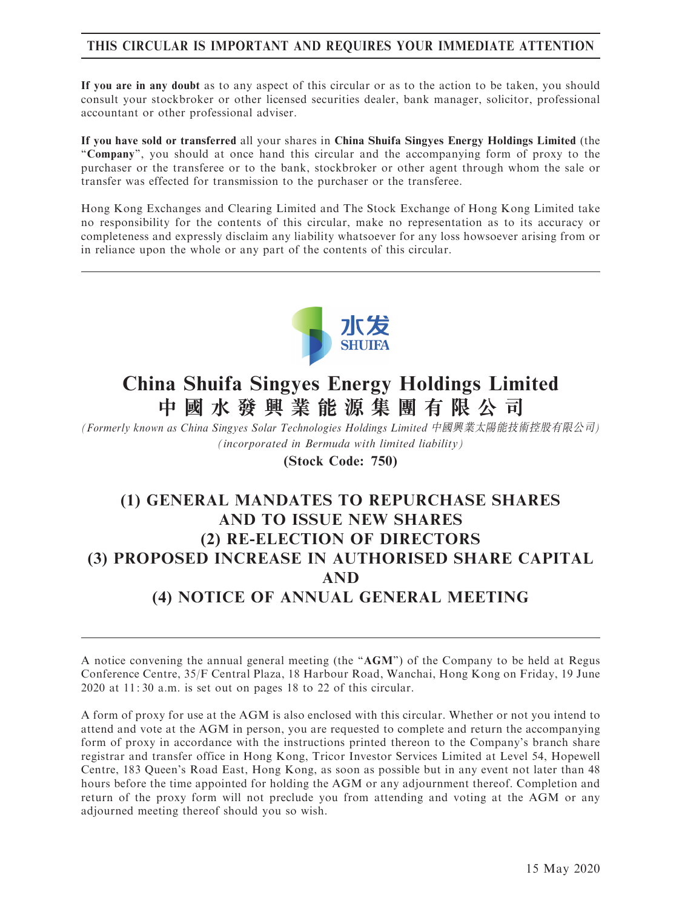# THIS CIRCULAR IS IMPORTANT AND REQUIRES YOUR IMMEDIATE ATTENTION

If you are in any doubt as to any aspect of this circular or as to the action to be taken, you should consult your stockbroker or other licensed securities dealer, bank manager, solicitor, professional accountant or other professional adviser.

If you have sold or transferred all your shares in China Shuifa Singyes Energy Holdings Limited (the ''Company'', you should at once hand this circular and the accompanying form of proxy to the purchaser or the transferee or to the bank, stockbroker or other agent through whom the sale or transfer was effected for transmission to the purchaser or the transferee.

Hong Kong Exchanges and Clearing Limited and The Stock Exchange of Hong Kong Limited take no responsibility for the contents of this circular, make no representation as to its accuracy or completeness and expressly disclaim any liability whatsoever for any loss howsoever arising from or in reliance upon the whole or any part of the contents of this circular.



# China Shuifa Singyes Energy Holdings Limited 中 國 水 發 興 業 能 源 集 團 有 限 公 司

(Formerly known as China Singyes Solar Technologies Holdings Limited 中國興業太陽能技術控股有限公司) (incorporated in Bermuda with limited liability)

(Stock Code: 750)

# (1) GENERAL MANDATES TO REPURCHASE SHARES AND TO ISSUE NEW SHARES (2) RE-ELECTION OF DIRECTORS (3) PROPOSED INCREASE IN AUTHORISED SHARE CAPITAL AND (4) NOTICE OF ANNUAL GENERAL MEETING

A notice convening the annual general meeting (the "AGM") of the Company to be held at Regus Conference Centre, 35/F Central Plaza, 18 Harbour Road, Wanchai, Hong Kong on Friday, 19 June 2020 at 11: 30 a.m. is set out on pages 18 to 22 of this circular.

A form of proxy for use at the AGM is also enclosed with this circular. Whether or not you intend to attend and vote at the AGM in person, you are requested to complete and return the accompanying form of proxy in accordance with the instructions printed thereon to the Company's branch share registrar and transfer office in Hong Kong, Tricor Investor Services Limited at Level 54, Hopewell Centre, 183 Queen's Road East, Hong Kong, as soon as possible but in any event not later than 48 hours before the time appointed for holding the AGM or any adjournment thereof. Completion and return of the proxy form will not preclude you from attending and voting at the AGM or any adjourned meeting thereof should you so wish.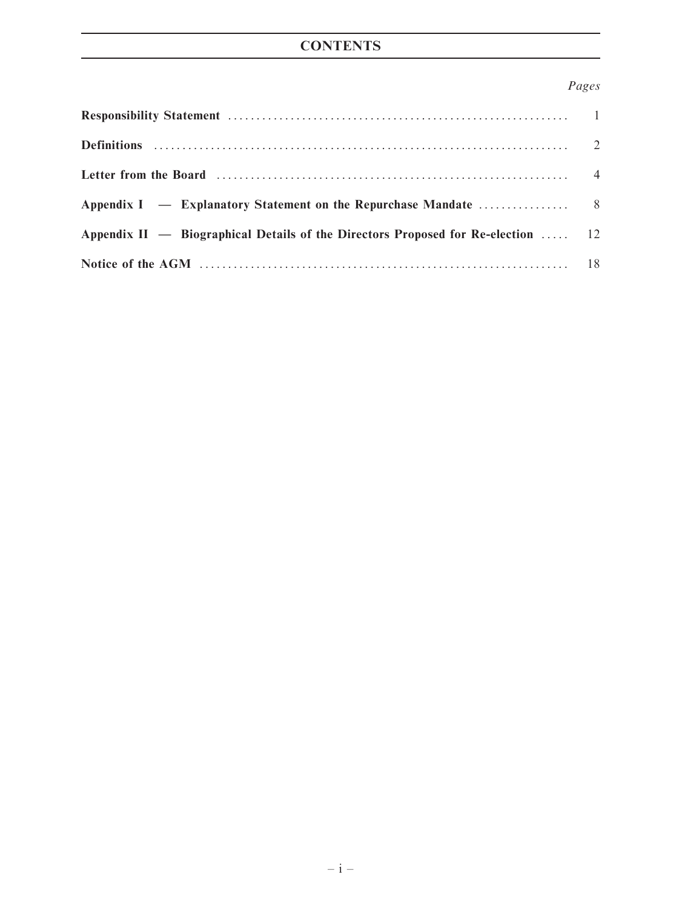# Pages

| Appendix II — Biographical Details of the Directors Proposed for Re-election  12 |  |
|----------------------------------------------------------------------------------|--|
|                                                                                  |  |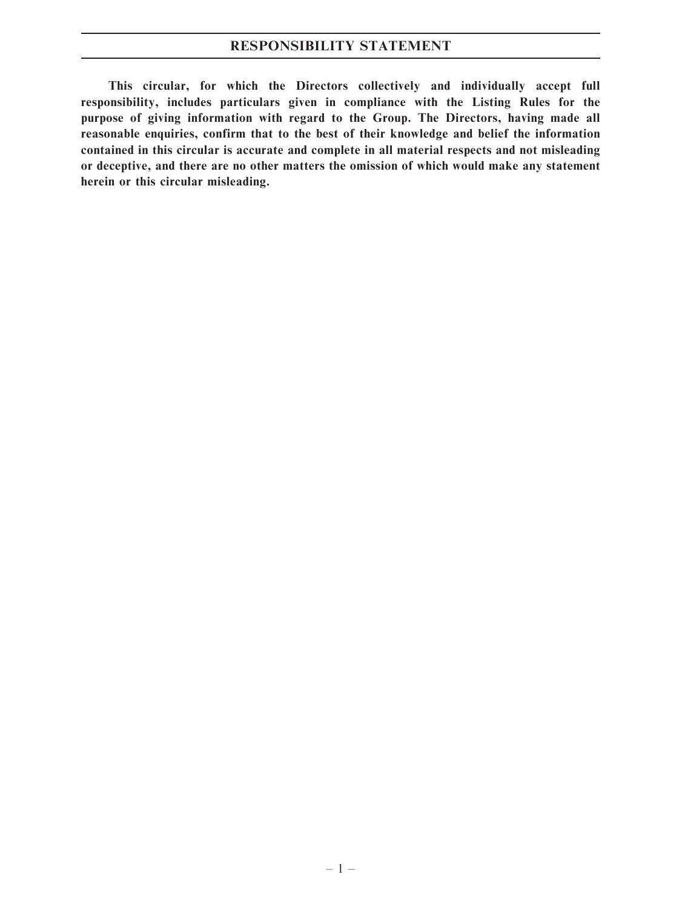#### RESPONSIBILITY STATEMENT

This circular, for which the Directors collectively and individually accept full responsibility, includes particulars given in compliance with the Listing Rules for the purpose of giving information with regard to the Group. The Directors, having made all reasonable enquiries, confirm that to the best of their knowledge and belief the information contained in this circular is accurate and complete in all material respects and not misleading or deceptive, and there are no other matters the omission of which would make any statement herein or this circular misleading.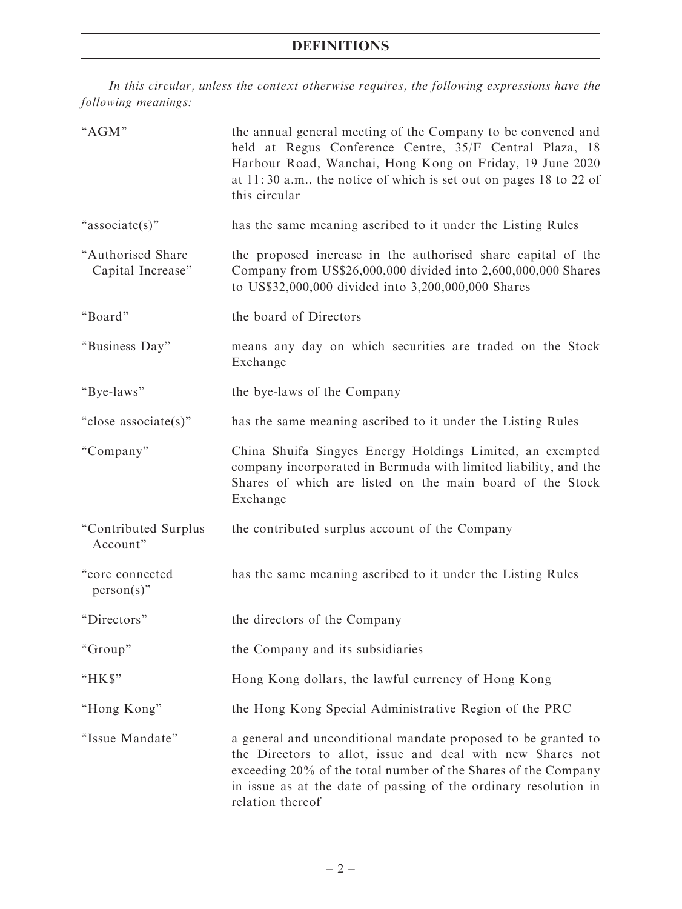# DEFINITIONS

In this circular, unless the context otherwise requires, the following expressions have the following meanings:

| "AGM"                                  | the annual general meeting of the Company to be convened and<br>held at Regus Conference Centre, 35/F Central Plaza, 18<br>Harbour Road, Wanchai, Hong Kong on Friday, 19 June 2020<br>at $11:30$ a.m., the notice of which is set out on pages 18 to 22 of<br>this circular          |
|----------------------------------------|---------------------------------------------------------------------------------------------------------------------------------------------------------------------------------------------------------------------------------------------------------------------------------------|
| "associate(s)"                         | has the same meaning ascribed to it under the Listing Rules                                                                                                                                                                                                                           |
| "Authorised Share<br>Capital Increase" | the proposed increase in the authorised share capital of the<br>Company from US\$26,000,000 divided into 2,600,000,000 Shares<br>to US\$32,000,000 divided into 3,200,000,000 Shares                                                                                                  |
| "Board"                                | the board of Directors                                                                                                                                                                                                                                                                |
| "Business Day"                         | means any day on which securities are traded on the Stock<br>Exchange                                                                                                                                                                                                                 |
| "Bye-laws"                             | the bye-laws of the Company                                                                                                                                                                                                                                                           |
| "close associate(s)"                   | has the same meaning ascribed to it under the Listing Rules                                                                                                                                                                                                                           |
| "Company"                              | China Shuifa Singyes Energy Holdings Limited, an exempted<br>company incorporated in Bermuda with limited liability, and the<br>Shares of which are listed on the main board of the Stock<br>Exchange                                                                                 |
| "Contributed Surplus<br>Account"       | the contributed surplus account of the Company                                                                                                                                                                                                                                        |
| "core connected<br>$person(s)$ "       | has the same meaning ascribed to it under the Listing Rules                                                                                                                                                                                                                           |
| "Directors"                            | the directors of the Company                                                                                                                                                                                                                                                          |
| "Group"                                | the Company and its subsidiaries                                                                                                                                                                                                                                                      |
| "HK\$"                                 | Hong Kong dollars, the lawful currency of Hong Kong                                                                                                                                                                                                                                   |
| "Hong Kong"                            | the Hong Kong Special Administrative Region of the PRC                                                                                                                                                                                                                                |
| "Issue Mandate"                        | a general and unconditional mandate proposed to be granted to<br>the Directors to allot, issue and deal with new Shares not<br>exceeding 20% of the total number of the Shares of the Company<br>in issue as at the date of passing of the ordinary resolution in<br>relation thereof |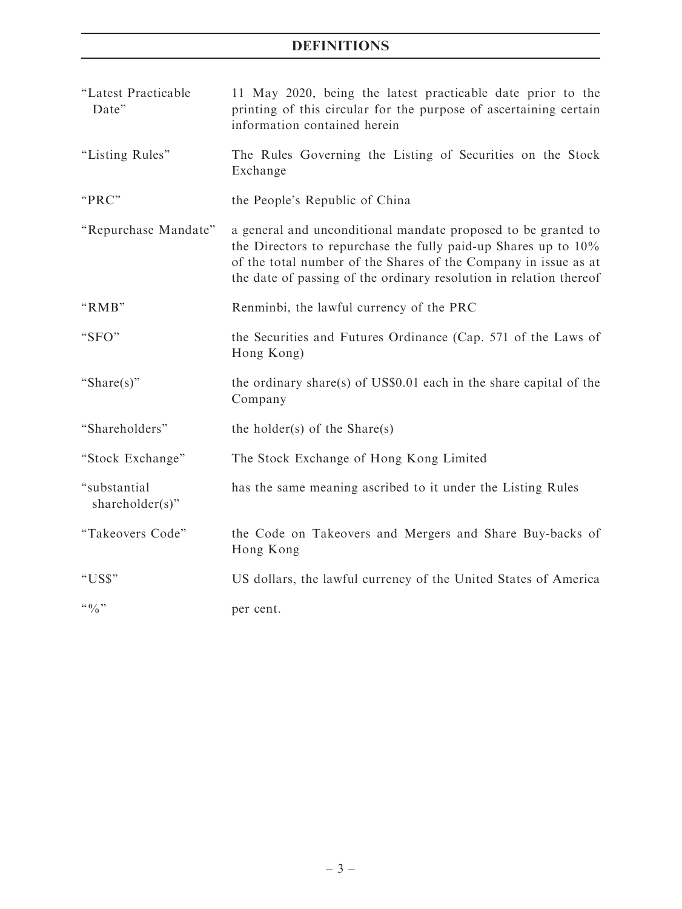# DEFINITIONS

| "Latest Practicable<br>Date"    | 11 May 2020, being the latest practicable date prior to the<br>printing of this circular for the purpose of ascertaining certain<br>information contained herein                                                                                                         |
|---------------------------------|--------------------------------------------------------------------------------------------------------------------------------------------------------------------------------------------------------------------------------------------------------------------------|
| "Listing Rules"                 | The Rules Governing the Listing of Securities on the Stock<br>Exchange                                                                                                                                                                                                   |
| "PRC"                           | the People's Republic of China                                                                                                                                                                                                                                           |
| "Repurchase Mandate"            | a general and unconditional mandate proposed to be granted to<br>the Directors to repurchase the fully paid-up Shares up to 10%<br>of the total number of the Shares of the Company in issue as at<br>the date of passing of the ordinary resolution in relation thereof |
| "RMB"                           | Renminbi, the lawful currency of the PRC                                                                                                                                                                                                                                 |
| "SFO"                           | the Securities and Futures Ordinance (Cap. 571 of the Laws of<br>Hong Kong)                                                                                                                                                                                              |
| "Share(s)"                      | the ordinary share(s) of US\$0.01 each in the share capital of the<br>Company                                                                                                                                                                                            |
| "Shareholders"                  | the holder(s) of the Share(s)                                                                                                                                                                                                                                            |
| "Stock Exchange"                | The Stock Exchange of Hong Kong Limited                                                                                                                                                                                                                                  |
| "substantial<br>shareholder(s)" | has the same meaning ascribed to it under the Listing Rules                                                                                                                                                                                                              |
| "Takeovers Code"                | the Code on Takeovers and Mergers and Share Buy-backs of<br>Hong Kong                                                                                                                                                                                                    |
| "US\$"                          | US dollars, the lawful currency of the United States of America                                                                                                                                                                                                          |
| $\lq\lq 0$ $\lq\lq$ $\lq$       | per cent.                                                                                                                                                                                                                                                                |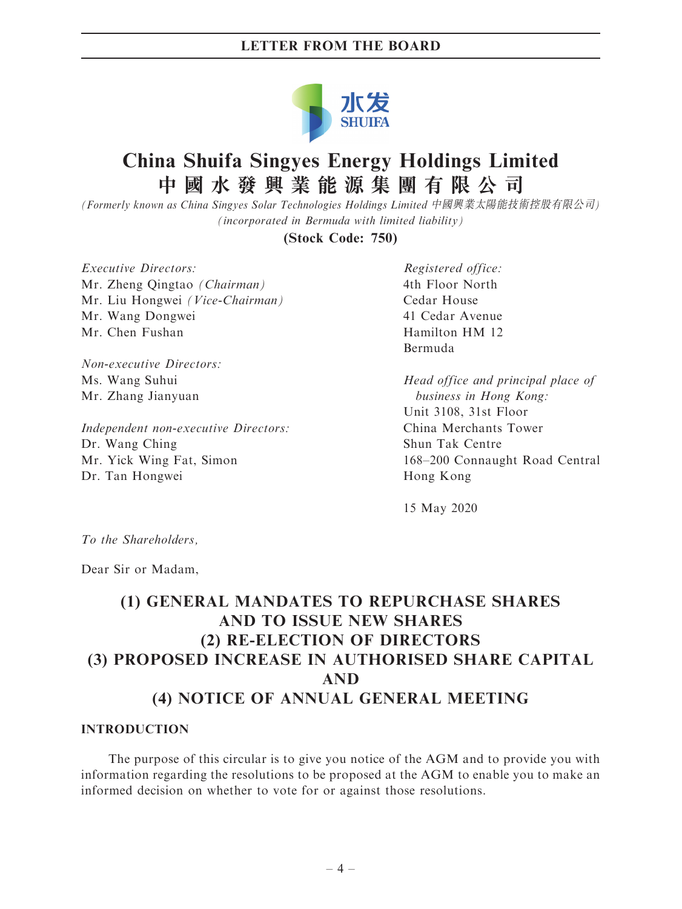

# China Shuifa Singyes Energy Holdings Limited 中 國 水 發 興 業 能 源 集 團 有 限 公 司

(Formerly known as China Singyes Solar Technologies Holdings Limited 中國興業太陽能技術控股有限公司) (incorporated in Bermuda with limited liability)

(Stock Code: 750)

Executive Directors: Mr. Zheng Qingtao *(Chairman)* Mr. Liu Hongwei (Vice-Chairman) Mr. Wang Dongwei Mr. Chen Fushan

Non-executive Directors: Ms. Wang Suhui Mr. Zhang Jianyuan

Independent non-executive Directors: Dr. Wang Ching Mr. Yick Wing Fat, Simon Dr. Tan Hongwei

Registered office: 4th Floor North Cedar House 41 Cedar Avenue Hamilton HM 12 Bermuda

Head office and principal place of business in Hong Kong: Unit 3108, 31st Floor China Merchants Tower Shun Tak Centre 168–200 Connaught Road Central Hong Kong

15 May 2020

To the Shareholders,

Dear Sir or Madam,

# (1) GENERAL MANDATES TO REPURCHASE SHARES AND TO ISSUE NEW SHARES (2) RE-ELECTION OF DIRECTORS (3) PROPOSED INCREASE IN AUTHORISED SHARE CAPITAL AND (4) NOTICE OF ANNUAL GENERAL MEETING

## INTRODUCTION

The purpose of this circular is to give you notice of the AGM and to provide you with information regarding the resolutions to be proposed at the AGM to enable you to make an informed decision on whether to vote for or against those resolutions.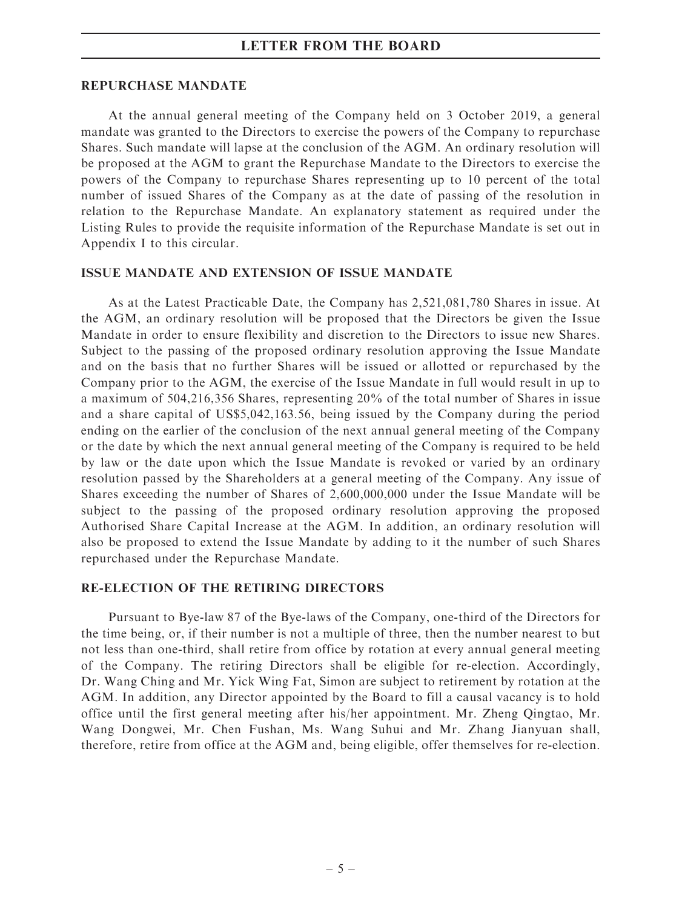#### REPURCHASE MANDATE

At the annual general meeting of the Company held on 3 October 2019, a general mandate was granted to the Directors to exercise the powers of the Company to repurchase Shares. Such mandate will lapse at the conclusion of the AGM. An ordinary resolution will be proposed at the AGM to grant the Repurchase Mandate to the Directors to exercise the powers of the Company to repurchase Shares representing up to 10 percent of the total number of issued Shares of the Company as at the date of passing of the resolution in relation to the Repurchase Mandate. An explanatory statement as required under the Listing Rules to provide the requisite information of the Repurchase Mandate is set out in Appendix I to this circular.

#### ISSUE MANDATE AND EXTENSION OF ISSUE MANDATE

As at the Latest Practicable Date, the Company has 2,521,081,780 Shares in issue. At the AGM, an ordinary resolution will be proposed that the Directors be given the Issue Mandate in order to ensure flexibility and discretion to the Directors to issue new Shares. Subject to the passing of the proposed ordinary resolution approving the Issue Mandate and on the basis that no further Shares will be issued or allotted or repurchased by the Company prior to the AGM, the exercise of the Issue Mandate in full would result in up to a maximum of 504,216,356 Shares, representing 20% of the total number of Shares in issue and a share capital of US\$5,042,163.56, being issued by the Company during the period ending on the earlier of the conclusion of the next annual general meeting of the Company or the date by which the next annual general meeting of the Company is required to be held by law or the date upon which the Issue Mandate is revoked or varied by an ordinary resolution passed by the Shareholders at a general meeting of the Company. Any issue of Shares exceeding the number of Shares of 2,600,000,000 under the Issue Mandate will be subject to the passing of the proposed ordinary resolution approving the proposed Authorised Share Capital Increase at the AGM. In addition, an ordinary resolution will also be proposed to extend the Issue Mandate by adding to it the number of such Shares repurchased under the Repurchase Mandate.

#### RE-ELECTION OF THE RETIRING DIRECTORS

Pursuant to Bye-law 87 of the Bye-laws of the Company, one-third of the Directors for the time being, or, if their number is not a multiple of three, then the number nearest to but not less than one-third, shall retire from office by rotation at every annual general meeting of the Company. The retiring Directors shall be eligible for re-election. Accordingly, Dr. Wang Ching and Mr. Yick Wing Fat, Simon are subject to retirement by rotation at the AGM. In addition, any Director appointed by the Board to fill a causal vacancy is to hold office until the first general meeting after his/her appointment. Mr. Zheng Qingtao, Mr. Wang Dongwei, Mr. Chen Fushan, Ms. Wang Suhui and Mr. Zhang Jianyuan shall, therefore, retire from office at the AGM and, being eligible, offer themselves for re-election.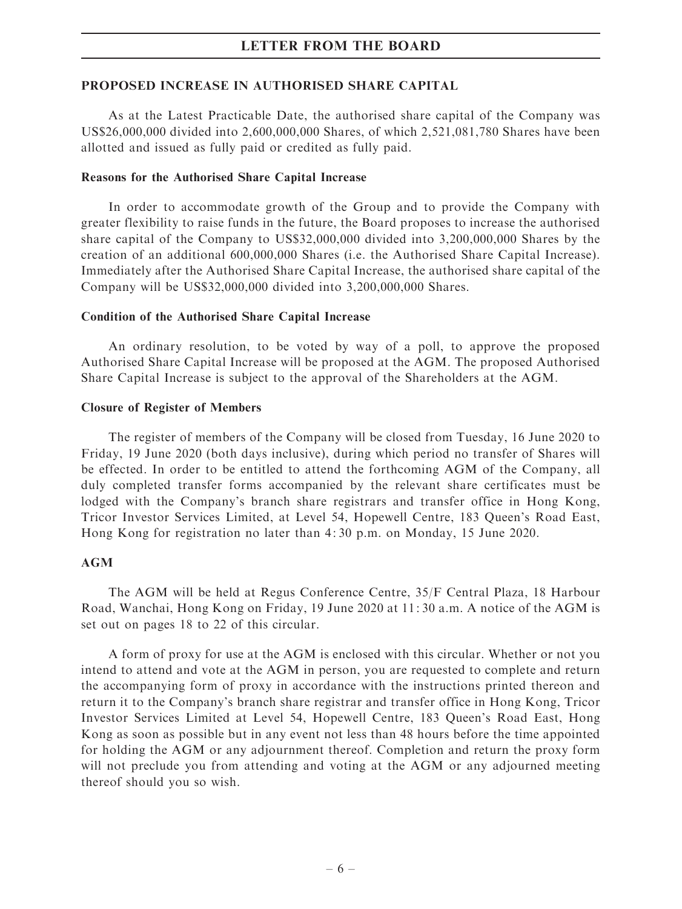#### PROPOSED INCREASE IN AUTHORISED SHARE CAPITAL

As at the Latest Practicable Date, the authorised share capital of the Company was US\$26,000,000 divided into 2,600,000,000 Shares, of which 2,521,081,780 Shares have been allotted and issued as fully paid or credited as fully paid.

#### Reasons for the Authorised Share Capital Increase

In order to accommodate growth of the Group and to provide the Company with greater flexibility to raise funds in the future, the Board proposes to increase the authorised share capital of the Company to US\$32,000,000 divided into 3,200,000,000 Shares by the creation of an additional 600,000,000 Shares (i.e. the Authorised Share Capital Increase). Immediately after the Authorised Share Capital Increase, the authorised share capital of the Company will be US\$32,000,000 divided into 3,200,000,000 Shares.

#### Condition of the Authorised Share Capital Increase

An ordinary resolution, to be voted by way of a poll, to approve the proposed Authorised Share Capital Increase will be proposed at the AGM. The proposed Authorised Share Capital Increase is subject to the approval of the Shareholders at the AGM.

#### Closure of Register of Members

The register of members of the Company will be closed from Tuesday, 16 June 2020 to Friday, 19 June 2020 (both days inclusive), during which period no transfer of Shares will be effected. In order to be entitled to attend the forthcoming AGM of the Company, all duly completed transfer forms accompanied by the relevant share certificates must be lodged with the Company's branch share registrars and transfer office in Hong Kong, Tricor Investor Services Limited, at Level 54, Hopewell Centre, 183 Queen's Road East, Hong Kong for registration no later than 4: 30 p.m. on Monday, 15 June 2020.

#### AGM

The AGM will be held at Regus Conference Centre, 35/F Central Plaza, 18 Harbour Road, Wanchai, Hong Kong on Friday, 19 June 2020 at 11: 30 a.m. A notice of the AGM is set out on pages 18 to 22 of this circular.

A form of proxy for use at the AGM is enclosed with this circular. Whether or not you intend to attend and vote at the AGM in person, you are requested to complete and return the accompanying form of proxy in accordance with the instructions printed thereon and return it to the Company's branch share registrar and transfer office in Hong Kong, Tricor Investor Services Limited at Level 54, Hopewell Centre, 183 Queen's Road East, Hong Kong as soon as possible but in any event not less than 48 hours before the time appointed for holding the AGM or any adjournment thereof. Completion and return the proxy form will not preclude you from attending and voting at the AGM or any adjourned meeting thereof should you so wish.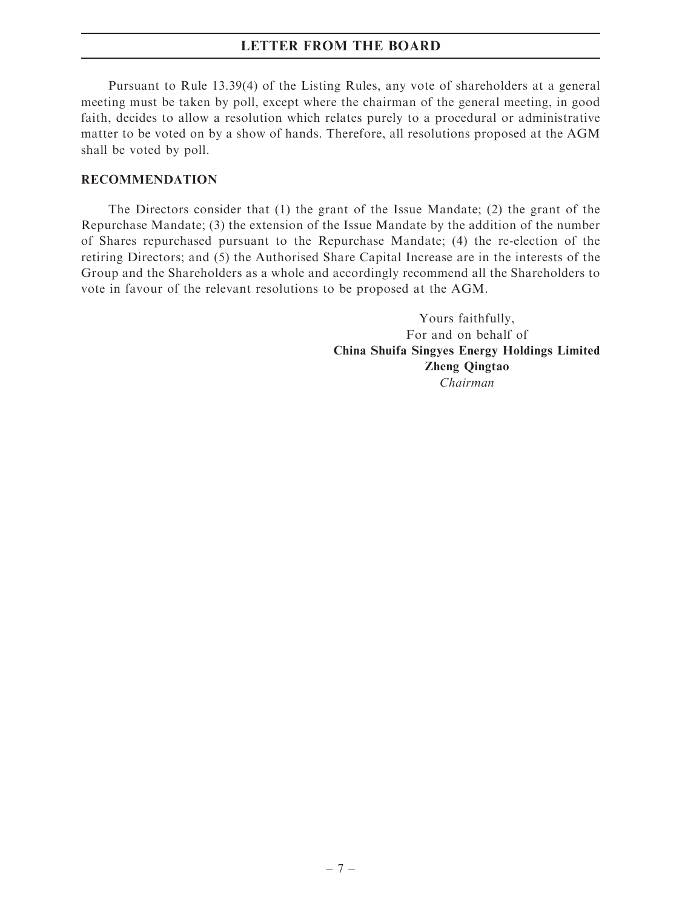Pursuant to Rule 13.39(4) of the Listing Rules, any vote of shareholders at a general meeting must be taken by poll, except where the chairman of the general meeting, in good faith, decides to allow a resolution which relates purely to a procedural or administrative matter to be voted on by a show of hands. Therefore, all resolutions proposed at the AGM shall be voted by poll.

#### RECOMMENDATION

The Directors consider that (1) the grant of the Issue Mandate; (2) the grant of the Repurchase Mandate; (3) the extension of the Issue Mandate by the addition of the number of Shares repurchased pursuant to the Repurchase Mandate; (4) the re-election of the retiring Directors; and (5) the Authorised Share Capital Increase are in the interests of the Group and the Shareholders as a whole and accordingly recommend all the Shareholders to vote in favour of the relevant resolutions to be proposed at the AGM.

> Yours faithfully, For and on behalf of China Shuifa Singyes Energy Holdings Limited Zheng Qingtao Chairman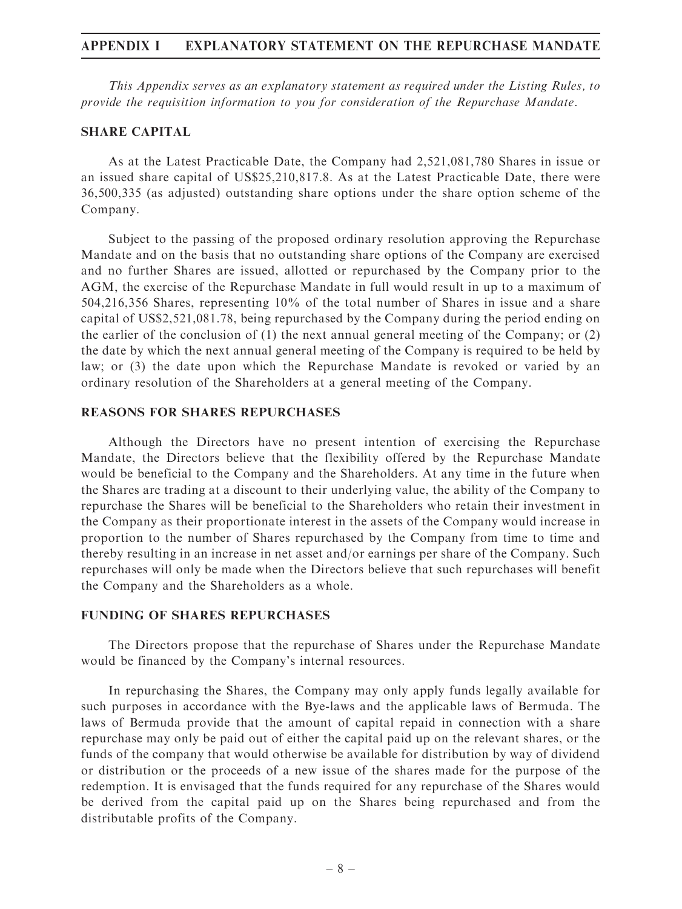This Appendix serves as an explanatory statement as required under the Listing Rules, to provide the requisition information to you for consideration of the Repurchase Mandate.

#### SHARE CAPITAL

As at the Latest Practicable Date, the Company had 2,521,081,780 Shares in issue or an issued share capital of US\$25,210,817.8. As at the Latest Practicable Date, there were 36,500,335 (as adjusted) outstanding share options under the share option scheme of the Company.

Subject to the passing of the proposed ordinary resolution approving the Repurchase Mandate and on the basis that no outstanding share options of the Company are exercised and no further Shares are issued, allotted or repurchased by the Company prior to the AGM, the exercise of the Repurchase Mandate in full would result in up to a maximum of 504,216,356 Shares, representing 10% of the total number of Shares in issue and a share capital of US\$2,521,081.78, being repurchased by the Company during the period ending on the earlier of the conclusion of (1) the next annual general meeting of the Company; or (2) the date by which the next annual general meeting of the Company is required to be held by law; or (3) the date upon which the Repurchase Mandate is revoked or varied by an ordinary resolution of the Shareholders at a general meeting of the Company.

#### REASONS FOR SHARES REPURCHASES

Although the Directors have no present intention of exercising the Repurchase Mandate, the Directors believe that the flexibility offered by the Repurchase Mandate would be beneficial to the Company and the Shareholders. At any time in the future when the Shares are trading at a discount to their underlying value, the ability of the Company to repurchase the Shares will be beneficial to the Shareholders who retain their investment in the Company as their proportionate interest in the assets of the Company would increase in proportion to the number of Shares repurchased by the Company from time to time and thereby resulting in an increase in net asset and/or earnings per share of the Company. Such repurchases will only be made when the Directors believe that such repurchases will benefit the Company and the Shareholders as a whole.

#### FUNDING OF SHARES REPURCHASES

The Directors propose that the repurchase of Shares under the Repurchase Mandate would be financed by the Company's internal resources.

In repurchasing the Shares, the Company may only apply funds legally available for such purposes in accordance with the Bye-laws and the applicable laws of Bermuda. The laws of Bermuda provide that the amount of capital repaid in connection with a share repurchase may only be paid out of either the capital paid up on the relevant shares, or the funds of the company that would otherwise be available for distribution by way of dividend or distribution or the proceeds of a new issue of the shares made for the purpose of the redemption. It is envisaged that the funds required for any repurchase of the Shares would be derived from the capital paid up on the Shares being repurchased and from the distributable profits of the Company.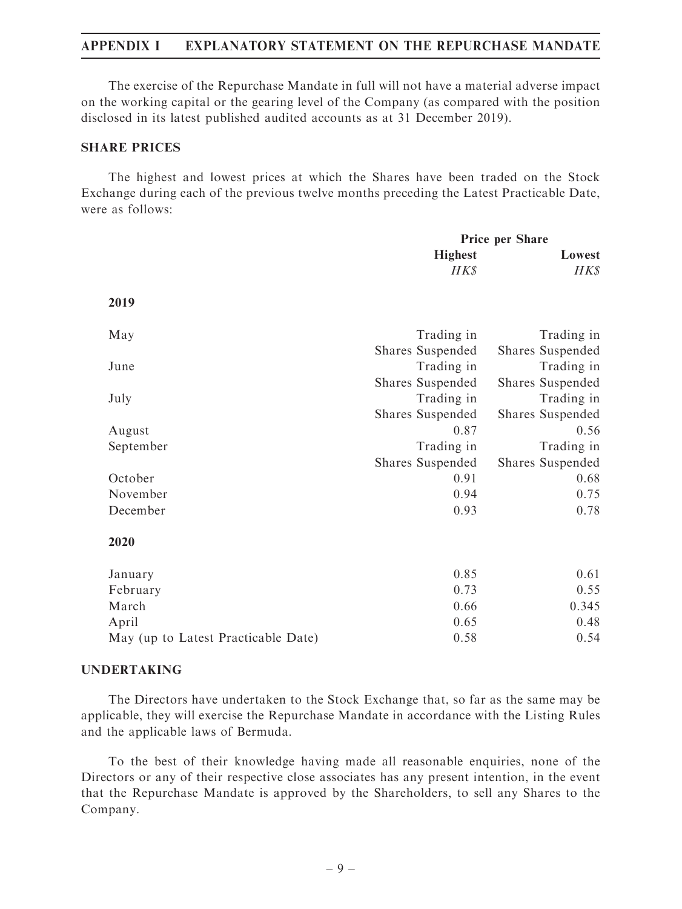The exercise of the Repurchase Mandate in full will not have a material adverse impact on the working capital or the gearing level of the Company (as compared with the position disclosed in its latest published audited accounts as at 31 December 2019).

#### SHARE PRICES

The highest and lowest prices at which the Shares have been traded on the Stock Exchange during each of the previous twelve months preceding the Latest Practicable Date, were as follows:

|                                     | <b>Price per Share</b> |                  |  |
|-------------------------------------|------------------------|------------------|--|
|                                     | <b>Highest</b>         | Lowest           |  |
|                                     | HK\$                   | HK\$             |  |
| 2019                                |                        |                  |  |
| May                                 | Trading in             | Trading in       |  |
|                                     | Shares Suspended       | Shares Suspended |  |
| June                                | Trading in             | Trading in       |  |
|                                     | Shares Suspended       | Shares Suspended |  |
| July                                | Trading in             | Trading in       |  |
|                                     | Shares Suspended       | Shares Suspended |  |
| August                              | 0.87                   | 0.56             |  |
| September                           | Trading in             | Trading in       |  |
|                                     | Shares Suspended       | Shares Suspended |  |
| October                             | 0.91                   | 0.68             |  |
| November                            | 0.94                   | 0.75             |  |
| December                            | 0.93                   | 0.78             |  |
| 2020                                |                        |                  |  |
| January                             | 0.85                   | 0.61             |  |
| February                            | 0.73                   | 0.55             |  |
| March                               | 0.66                   | 0.345            |  |
| April                               | 0.65                   | 0.48             |  |
| May (up to Latest Practicable Date) | 0.58                   | 0.54             |  |

#### UNDERTAKING

The Directors have undertaken to the Stock Exchange that, so far as the same may be applicable, they will exercise the Repurchase Mandate in accordance with the Listing Rules and the applicable laws of Bermuda.

To the best of their knowledge having made all reasonable enquiries, none of the Directors or any of their respective close associates has any present intention, in the event that the Repurchase Mandate is approved by the Shareholders, to sell any Shares to the Company.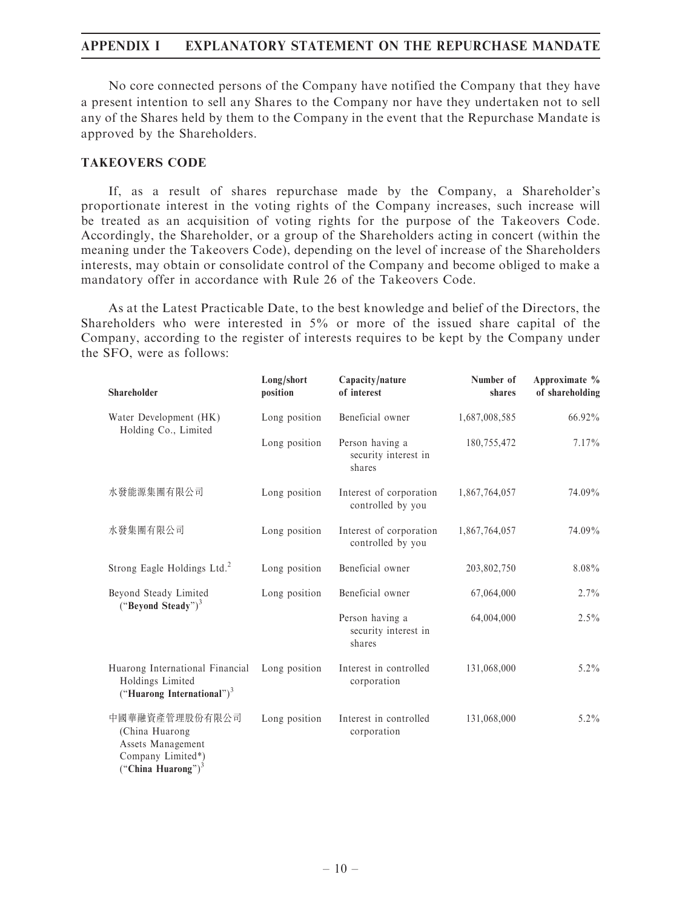No core connected persons of the Company have notified the Company that they have a present intention to sell any Shares to the Company nor have they undertaken not to sell any of the Shares held by them to the Company in the event that the Repurchase Mandate is approved by the Shareholders.

### TAKEOVERS CODE

If, as a result of shares repurchase made by the Company, a Shareholder's proportionate interest in the voting rights of the Company increases, such increase will be treated as an acquisition of voting rights for the purpose of the Takeovers Code. Accordingly, the Shareholder, or a group of the Shareholders acting in concert (within the meaning under the Takeovers Code), depending on the level of increase of the Shareholders interests, may obtain or consolidate control of the Company and become obliged to make a mandatory offer in accordance with Rule 26 of the Takeovers Code.

As at the Latest Practicable Date, to the best knowledge and belief of the Directors, the Shareholders who were interested in 5% or more of the issued share capital of the Company, according to the register of interests requires to be kept by the Company under the SFO, were as follows:

| Shareholder                                                                                                  | Long/short<br>position | Capacity/nature<br>of interest                    | Number of<br>shares | Approximate %<br>of shareholding |
|--------------------------------------------------------------------------------------------------------------|------------------------|---------------------------------------------------|---------------------|----------------------------------|
| Water Development (HK)<br>Holding Co., Limited                                                               | Long position          | Beneficial owner                                  | 1,687,008,585       | 66.92%                           |
|                                                                                                              | Long position          | Person having a<br>security interest in<br>shares | 180,755,472         | 7.17%                            |
| 水發能源集團有限公司                                                                                                   | Long position          | Interest of corporation<br>controlled by you      | 1,867,764,057       | 74.09%                           |
| 水發集團有限公司                                                                                                     | Long position          | Interest of corporation<br>controlled by you      | 1,867,764,057       | 74.09%                           |
| Strong Eagle Holdings Ltd. <sup>2</sup>                                                                      | Long position          | Beneficial owner                                  | 203,802,750         | 8.08%                            |
| Beyond Steady Limited<br>("Beyond Steady") $3$                                                               | Long position          | Beneficial owner                                  | 67,064,000          | $2.7\%$                          |
|                                                                                                              |                        | Person having a<br>security interest in<br>shares | 64,004,000          | $2.5\%$                          |
| Huarong International Financial<br>Holdings Limited<br>("Huarong International") $^3$                        | Long position          | Interest in controlled<br>corporation             | 131,068,000         | $5.2\%$                          |
| 中國華融資產管理股份有限公司<br>(China Huarong<br>Assets Management<br>Company Limited*)<br>("China Huarong") <sup>3</sup> | Long position          | Interest in controlled<br>corporation             | 131,068,000         | $5.2\%$                          |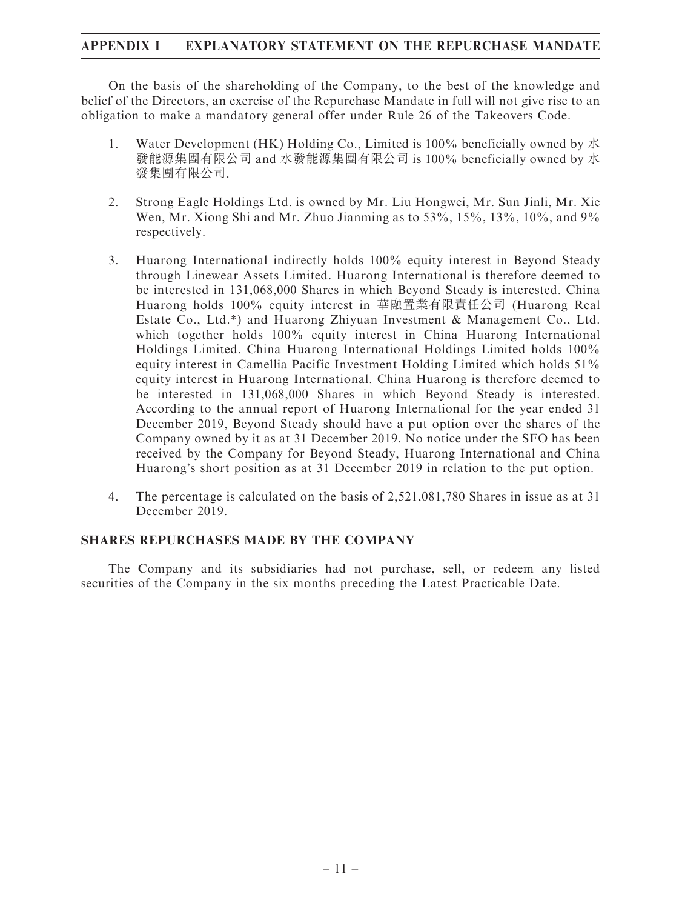On the basis of the shareholding of the Company, to the best of the knowledge and belief of the Directors, an exercise of the Repurchase Mandate in full will not give rise to an obligation to make a mandatory general offer under Rule 26 of the Takeovers Code.

- 1. Water Development (HK) Holding Co., Limited is 100% beneficially owned by 水 發能源集團有限公司 and 水發能源集團有限公司 is 100% beneficially owned by 水 發集團有限公司.
- 2. Strong Eagle Holdings Ltd. is owned by Mr. Liu Hongwei, Mr. Sun Jinli, Mr. Xie Wen, Mr. Xiong Shi and Mr. Zhuo Jianming as to 53%, 15%, 13%, 10%, and 9% respectively.
- 3. Huarong International indirectly holds 100% equity interest in Beyond Steady through Linewear Assets Limited. Huarong International is therefore deemed to be interested in 131,068,000 Shares in which Beyond Steady is interested. China Huarong holds 100% equity interest in 華融置業有限責任公司 (Huarong Real Estate Co., Ltd.\*) and Huarong Zhiyuan Investment & Management Co., Ltd. which together holds 100% equity interest in China Huarong International Holdings Limited. China Huarong International Holdings Limited holds 100% equity interest in Camellia Pacific Investment Holding Limited which holds 51% equity interest in Huarong International. China Huarong is therefore deemed to be interested in 131,068,000 Shares in which Beyond Steady is interested. According to the annual report of Huarong International for the year ended 31 December 2019, Beyond Steady should have a put option over the shares of the Company owned by it as at 31 December 2019. No notice under the SFO has been received by the Company for Beyond Steady, Huarong International and China Huarong's short position as at 31 December 2019 in relation to the put option.
- 4. The percentage is calculated on the basis of 2,521,081,780 Shares in issue as at 31 December 2019.

#### SHARES REPURCHASES MADE BY THE COMPANY

The Company and its subsidiaries had not purchase, sell, or redeem any listed securities of the Company in the six months preceding the Latest Practicable Date.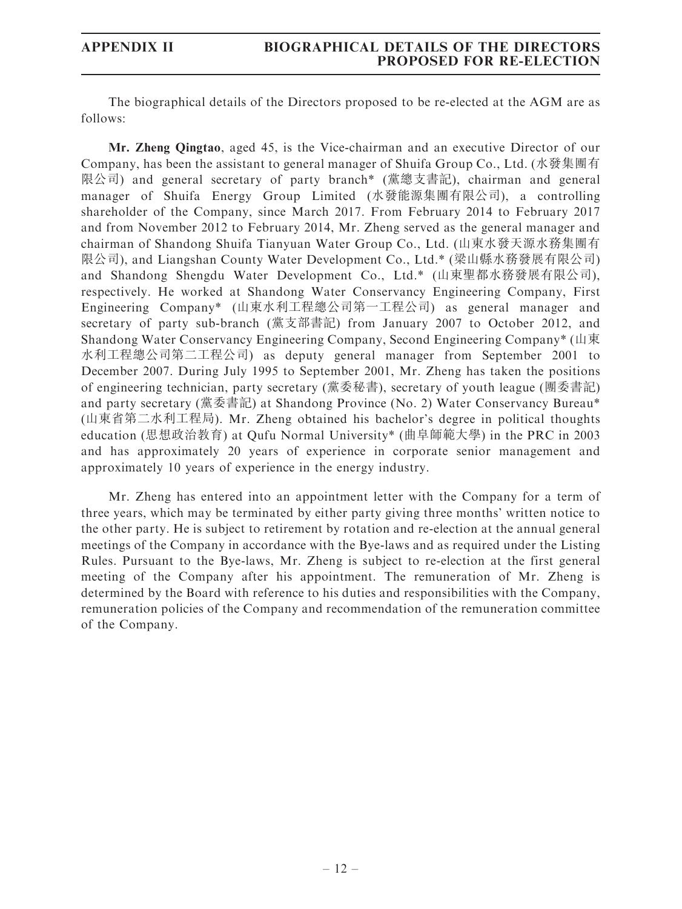The biographical details of the Directors proposed to be re-elected at the AGM are as follows:

Mr. Zheng Qingtao, aged 45, is the Vice-chairman and an executive Director of our Company, has been the assistant to general manager of Shuifa Group Co., Ltd. (水發集團有 限公司) and general secretary of party branch\* (黨總支書記), chairman and general manager of Shuifa Energy Group Limited (水發能源集團有限公司), a controlling shareholder of the Company, since March 2017. From February 2014 to February 2017 and from November 2012 to February 2014, Mr. Zheng served as the general manager and chairman of Shandong Shuifa Tianyuan Water Group Co., Ltd. (山東水發天源水務集團有 限公司), and Liangshan County Water Development Co., Ltd.\* (梁山縣水務發展有限公司) and Shandong Shengdu Water Development Co., Ltd.\* (山東聖都水務發展有限公司), respectively. He worked at Shandong Water Conservancy Engineering Company, First Engineering Company\* (山東水利工程總公司第一工程公司) as general manager and secretary of party sub-branch (黨支部書記) from January 2007 to October 2012, and Shandong Water Conservancy Engineering Company, Second Engineering Company\* (山東 水利工程總公司第二工程公司) as deputy general manager from September 2001 to December 2007. During July 1995 to September 2001, Mr. Zheng has taken the positions of engineering technician, party secretary (黨委秘書), secretary of youth league (團委書記) and party secretary (黨委書記) at Shandong Province (No. 2) Water Conservancy Bureau\* (山東省第二水利工程局). Mr. Zheng obtained his bachelor's degree in political thoughts education (思想政治教育) at Qufu Normal University\* (曲阜師範大學) in the PRC in 2003 and has approximately 20 years of experience in corporate senior management and approximately 10 years of experience in the energy industry.

Mr. Zheng has entered into an appointment letter with the Company for a term of three years, which may be terminated by either party giving three months' written notice to the other party. He is subject to retirement by rotation and re-election at the annual general meetings of the Company in accordance with the Bye-laws and as required under the Listing Rules. Pursuant to the Bye-laws, Mr. Zheng is subject to re-election at the first general meeting of the Company after his appointment. The remuneration of Mr. Zheng is determined by the Board with reference to his duties and responsibilities with the Company, remuneration policies of the Company and recommendation of the remuneration committee of the Company.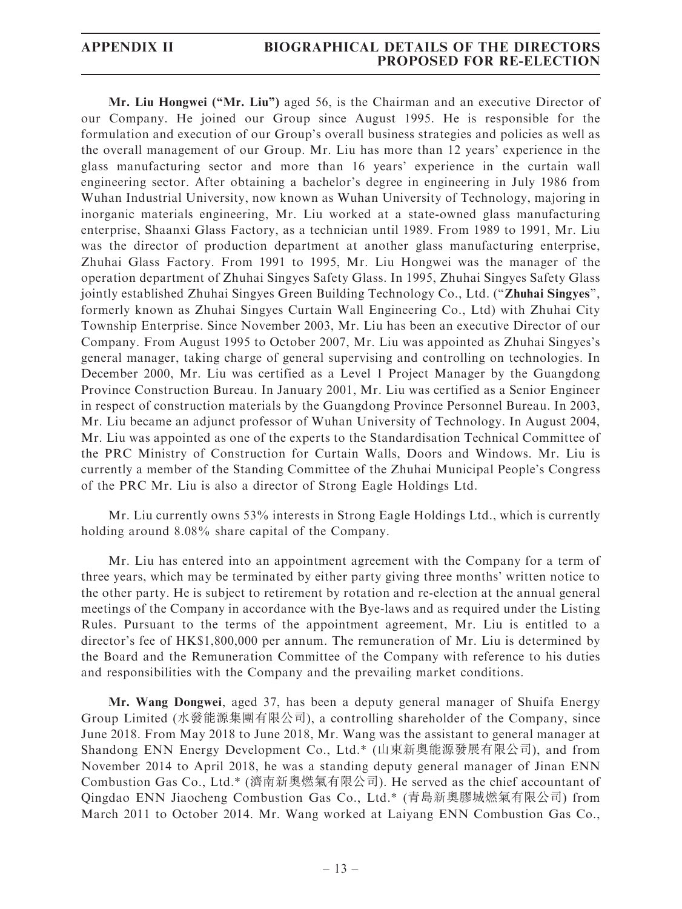Mr. Liu Hongwei ("Mr. Liu") aged 56, is the Chairman and an executive Director of our Company. He joined our Group since August 1995. He is responsible for the formulation and execution of our Group's overall business strategies and policies as well as the overall management of our Group. Mr. Liu has more than 12 years' experience in the glass manufacturing sector and more than 16 years' experience in the curtain wall engineering sector. After obtaining a bachelor's degree in engineering in July 1986 from Wuhan Industrial University, now known as Wuhan University of Technology, majoring in inorganic materials engineering, Mr. Liu worked at a state-owned glass manufacturing enterprise, Shaanxi Glass Factory, as a technician until 1989. From 1989 to 1991, Mr. Liu was the director of production department at another glass manufacturing enterprise, Zhuhai Glass Factory. From 1991 to 1995, Mr. Liu Hongwei was the manager of the operation department of Zhuhai Singyes Safety Glass. In 1995, Zhuhai Singyes Safety Glass jointly established Zhuhai Singyes Green Building Technology Co., Ltd. ("Zhuhai Singyes", formerly known as Zhuhai Singyes Curtain Wall Engineering Co., Ltd) with Zhuhai City Township Enterprise. Since November 2003, Mr. Liu has been an executive Director of our Company. From August 1995 to October 2007, Mr. Liu was appointed as Zhuhai Singyes's general manager, taking charge of general supervising and controlling on technologies. In December 2000, Mr. Liu was certified as a Level 1 Project Manager by the Guangdong Province Construction Bureau. In January 2001, Mr. Liu was certified as a Senior Engineer in respect of construction materials by the Guangdong Province Personnel Bureau. In 2003, Mr. Liu became an adjunct professor of Wuhan University of Technology. In August 2004, Mr. Liu was appointed as one of the experts to the Standardisation Technical Committee of the PRC Ministry of Construction for Curtain Walls, Doors and Windows. Mr. Liu is currently a member of the Standing Committee of the Zhuhai Municipal People's Congress of the PRC Mr. Liu is also a director of Strong Eagle Holdings Ltd.

Mr. Liu currently owns 53% interests in Strong Eagle Holdings Ltd., which is currently holding around 8.08% share capital of the Company.

Mr. Liu has entered into an appointment agreement with the Company for a term of three years, which may be terminated by either party giving three months' written notice to the other party. He is subject to retirement by rotation and re-election at the annual general meetings of the Company in accordance with the Bye-laws and as required under the Listing Rules. Pursuant to the terms of the appointment agreement, Mr. Liu is entitled to a director's fee of HK\$1,800,000 per annum. The remuneration of Mr. Liu is determined by the Board and the Remuneration Committee of the Company with reference to his duties and responsibilities with the Company and the prevailing market conditions.

Mr. Wang Dongwei, aged 37, has been a deputy general manager of Shuifa Energy Group Limited (水發能源集團有限公司), a controlling shareholder of the Company, since June 2018. From May 2018 to June 2018, Mr. Wang was the assistant to general manager at Shandong ENN Energy Development Co., Ltd.\* (山東新奧能源發展有限公司), and from November 2014 to April 2018, he was a standing deputy general manager of Jinan ENN Combustion Gas Co., Ltd.\* (濟南新奧燃氣有限公司). He served as the chief accountant of Qingdao ENN Jiaocheng Combustion Gas Co., Ltd.\* (青島新奧膠城燃氣有限公司) from March 2011 to October 2014. Mr. Wang worked at Laiyang ENN Combustion Gas Co.,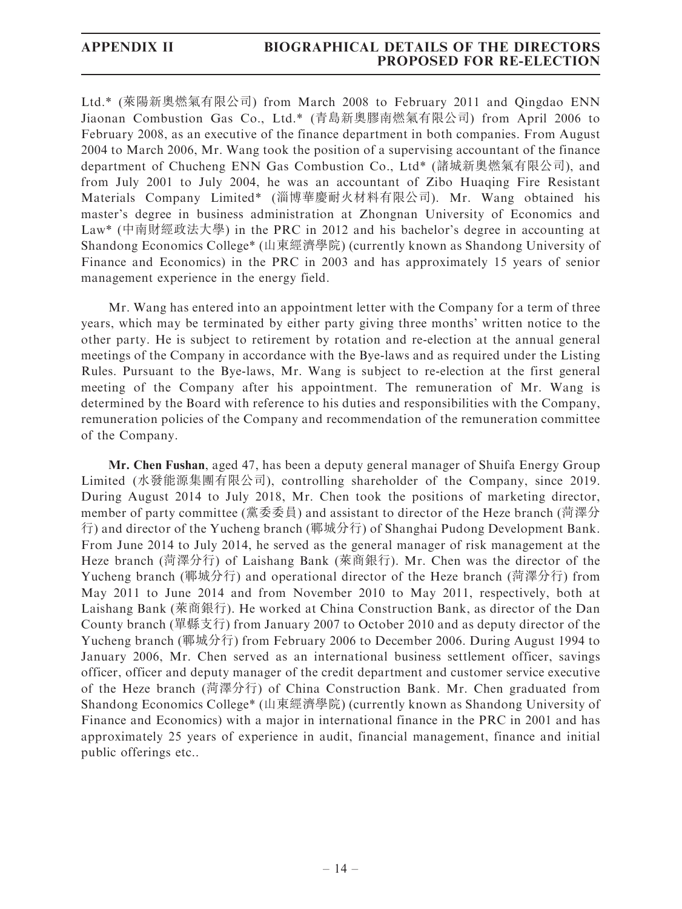Ltd.\* (萊陽新奧燃氣有限公司) from March 2008 to February 2011 and Qingdao ENN Jiaonan Combustion Gas Co., Ltd.\* (青島新奧膠南燃氣有限公司) from April 2006 to February 2008, as an executive of the finance department in both companies. From August 2004 to March 2006, Mr. Wang took the position of a supervising accountant of the finance department of Chucheng ENN Gas Combustion Co., Ltd\* (諸城新奧燃氣有限公司), and from July 2001 to July 2004, he was an accountant of Zibo Huaqing Fire Resistant Materials Company Limited\* (淄博華慶耐火材料有限公司). Mr. Wang obtained his master's degree in business administration at Zhongnan University of Economics and Law\* (中南財經政法大學) in the PRC in 2012 and his bachelor's degree in accounting at Shandong Economics College\* (山東經濟學院) (currently known as Shandong University of Finance and Economics) in the PRC in 2003 and has approximately 15 years of senior management experience in the energy field.

Mr. Wang has entered into an appointment letter with the Company for a term of three years, which may be terminated by either party giving three months' written notice to the other party. He is subject to retirement by rotation and re-election at the annual general meetings of the Company in accordance with the Bye-laws and as required under the Listing Rules. Pursuant to the Bye-laws, Mr. Wang is subject to re-election at the first general meeting of the Company after his appointment. The remuneration of Mr. Wang is determined by the Board with reference to his duties and responsibilities with the Company, remuneration policies of the Company and recommendation of the remuneration committee of the Company.

Mr. Chen Fushan, aged 47, has been a deputy general manager of Shuifa Energy Group Limited (水發能源集團有限公司), controlling shareholder of the Company, since 2019. During August 2014 to July 2018, Mr. Chen took the positions of marketing director, member of party committee (黨委委員) and assistant to director of the Heze branch (菏澤分 行) and director of the Yucheng branch (鄆城分行) of Shanghai Pudong Development Bank. From June 2014 to July 2014, he served as the general manager of risk management at the Heze branch (菏澤分行) of Laishang Bank (萊商銀行). Mr. Chen was the director of the Yucheng branch (鄆城分行) and operational director of the Heze branch (菏澤分行) from May 2011 to June 2014 and from November 2010 to May 2011, respectively, both at Laishang Bank (萊商銀行). He worked at China Construction Bank, as director of the Dan County branch (單縣支行) from January 2007 to October 2010 and as deputy director of the Yucheng branch (鄆城分行) from February 2006 to December 2006. During August 1994 to January 2006, Mr. Chen served as an international business settlement officer, savings officer, officer and deputy manager of the credit department and customer service executive of the Heze branch (菏澤分行) of China Construction Bank. Mr. Chen graduated from Shandong Economics College\* (山東經濟學院) (currently known as Shandong University of Finance and Economics) with a major in international finance in the PRC in 2001 and has approximately 25 years of experience in audit, financial management, finance and initial public offerings etc..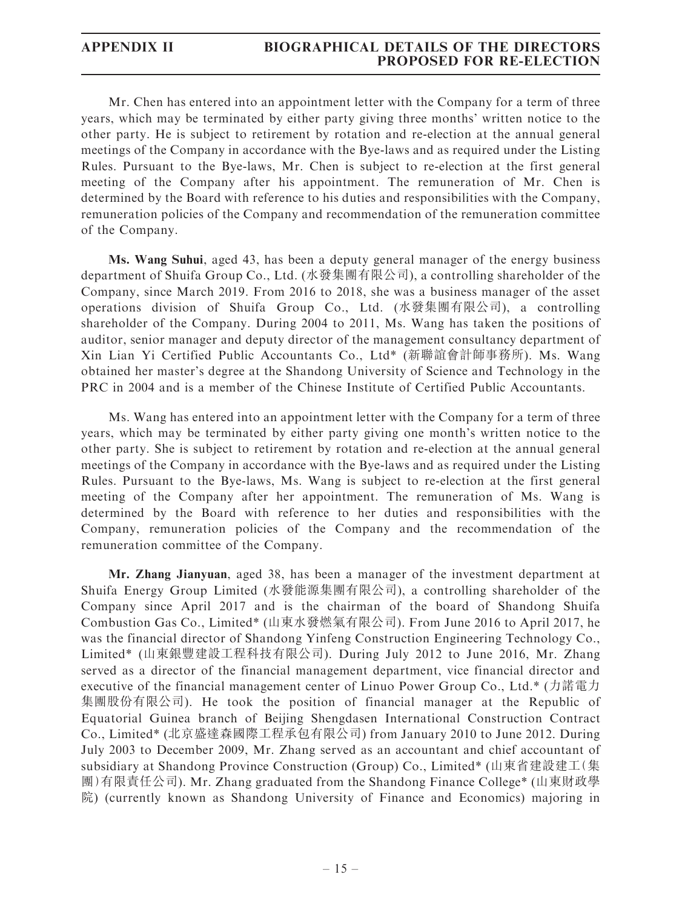Mr. Chen has entered into an appointment letter with the Company for a term of three years, which may be terminated by either party giving three months' written notice to the other party. He is subject to retirement by rotation and re-election at the annual general meetings of the Company in accordance with the Bye-laws and as required under the Listing Rules. Pursuant to the Bye-laws, Mr. Chen is subject to re-election at the first general meeting of the Company after his appointment. The remuneration of Mr. Chen is determined by the Board with reference to his duties and responsibilities with the Company, remuneration policies of the Company and recommendation of the remuneration committee of the Company.

Ms. Wang Suhui, aged 43, has been a deputy general manager of the energy business department of Shuifa Group Co., Ltd. (水發集團有限公司), a controlling shareholder of the Company, since March 2019. From 2016 to 2018, she was a business manager of the asset operations division of Shuifa Group Co., Ltd. (水發集團有限公司), a controlling shareholder of the Company. During 2004 to 2011, Ms. Wang has taken the positions of auditor, senior manager and deputy director of the management consultancy department of Xin Lian Yi Certified Public Accountants Co., Ltd\* (新聯誼會計師事務所). Ms. Wang obtained her master's degree at the Shandong University of Science and Technology in the PRC in 2004 and is a member of the Chinese Institute of Certified Public Accountants.

Ms. Wang has entered into an appointment letter with the Company for a term of three years, which may be terminated by either party giving one month's written notice to the other party. She is subject to retirement by rotation and re-election at the annual general meetings of the Company in accordance with the Bye-laws and as required under the Listing Rules. Pursuant to the Bye-laws, Ms. Wang is subject to re-election at the first general meeting of the Company after her appointment. The remuneration of Ms. Wang is determined by the Board with reference to her duties and responsibilities with the Company, remuneration policies of the Company and the recommendation of the remuneration committee of the Company.

Mr. Zhang Jianyuan, aged 38, has been a manager of the investment department at Shuifa Energy Group Limited (水發能源集團有限公司), a controlling shareholder of the Company since April 2017 and is the chairman of the board of Shandong Shuifa Combustion Gas Co., Limited\* (山東水發燃氣有限公司). From June 2016 to April 2017, he was the financial director of Shandong Yinfeng Construction Engineering Technology Co., Limited\* (山東銀豐建設工程科技有限公司). During July 2012 to June 2016, Mr. Zhang served as a director of the financial management department, vice financial director and executive of the financial management center of Linuo Power Group Co., Ltd.\* (力諾電力 集團股份有限公司). He took the position of financial manager at the Republic of Equatorial Guinea branch of Beijing Shengdasen International Construction Contract Co., Limited\* (北京盛達森國際工程承包有限公司) from January 2010 to June 2012. During July 2003 to December 2009, Mr. Zhang served as an accountant and chief accountant of subsidiary at Shandong Province Construction (Group) Co., Limited\* (山東省建設建工(集 團)有限責任公司). Mr. Zhang graduated from the Shandong Finance College\* (山東財政學 院) (currently known as Shandong University of Finance and Economics) majoring in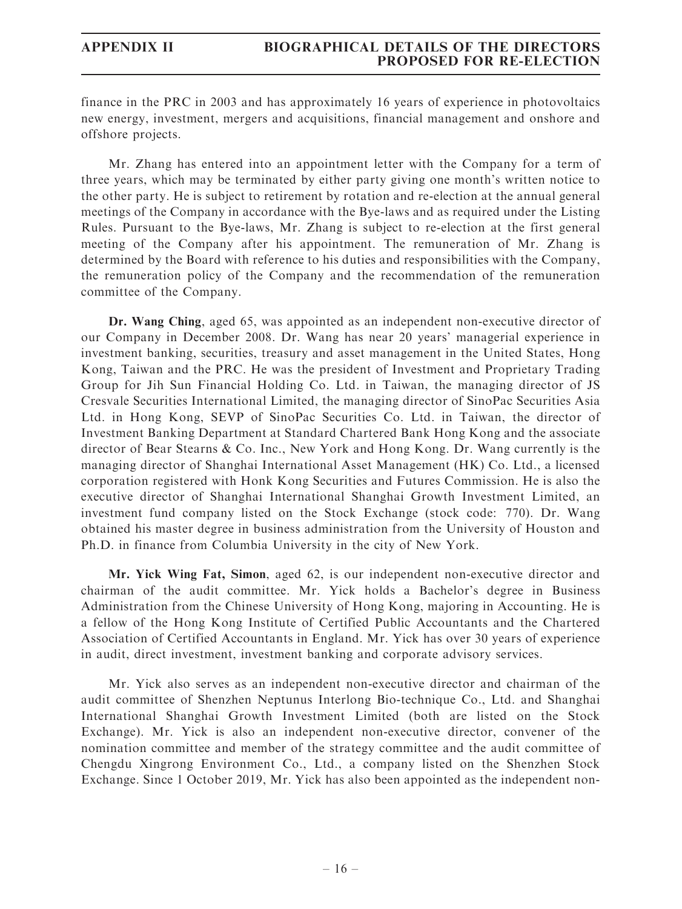finance in the PRC in 2003 and has approximately 16 years of experience in photovoltaics new energy, investment, mergers and acquisitions, financial management and onshore and offshore projects.

Mr. Zhang has entered into an appointment letter with the Company for a term of three years, which may be terminated by either party giving one month's written notice to the other party. He is subject to retirement by rotation and re-election at the annual general meetings of the Company in accordance with the Bye-laws and as required under the Listing Rules. Pursuant to the Bye-laws, Mr. Zhang is subject to re-election at the first general meeting of the Company after his appointment. The remuneration of Mr. Zhang is determined by the Board with reference to his duties and responsibilities with the Company, the remuneration policy of the Company and the recommendation of the remuneration committee of the Company.

Dr. Wang Ching, aged 65, was appointed as an independent non-executive director of our Company in December 2008. Dr. Wang has near 20 years' managerial experience in investment banking, securities, treasury and asset management in the United States, Hong Kong, Taiwan and the PRC. He was the president of Investment and Proprietary Trading Group for Jih Sun Financial Holding Co. Ltd. in Taiwan, the managing director of JS Cresvale Securities International Limited, the managing director of SinoPac Securities Asia Ltd. in Hong Kong, SEVP of SinoPac Securities Co. Ltd. in Taiwan, the director of Investment Banking Department at Standard Chartered Bank Hong Kong and the associate director of Bear Stearns & Co. Inc., New York and Hong Kong. Dr. Wang currently is the managing director of Shanghai International Asset Management (HK) Co. Ltd., a licensed corporation registered with Honk Kong Securities and Futures Commission. He is also the executive director of Shanghai International Shanghai Growth Investment Limited, an investment fund company listed on the Stock Exchange (stock code: 770). Dr. Wang obtained his master degree in business administration from the University of Houston and Ph.D. in finance from Columbia University in the city of New York.

Mr. Yick Wing Fat, Simon, aged 62, is our independent non-executive director and chairman of the audit committee. Mr. Yick holds a Bachelor's degree in Business Administration from the Chinese University of Hong Kong, majoring in Accounting. He is a fellow of the Hong Kong Institute of Certified Public Accountants and the Chartered Association of Certified Accountants in England. Mr. Yick has over 30 years of experience in audit, direct investment, investment banking and corporate advisory services.

Mr. Yick also serves as an independent non-executive director and chairman of the audit committee of Shenzhen Neptunus Interlong Bio-technique Co., Ltd. and Shanghai International Shanghai Growth Investment Limited (both are listed on the Stock Exchange). Mr. Yick is also an independent non-executive director, convener of the nomination committee and member of the strategy committee and the audit committee of Chengdu Xingrong Environment Co., Ltd., a company listed on the Shenzhen Stock Exchange. Since 1 October 2019, Mr. Yick has also been appointed as the independent non-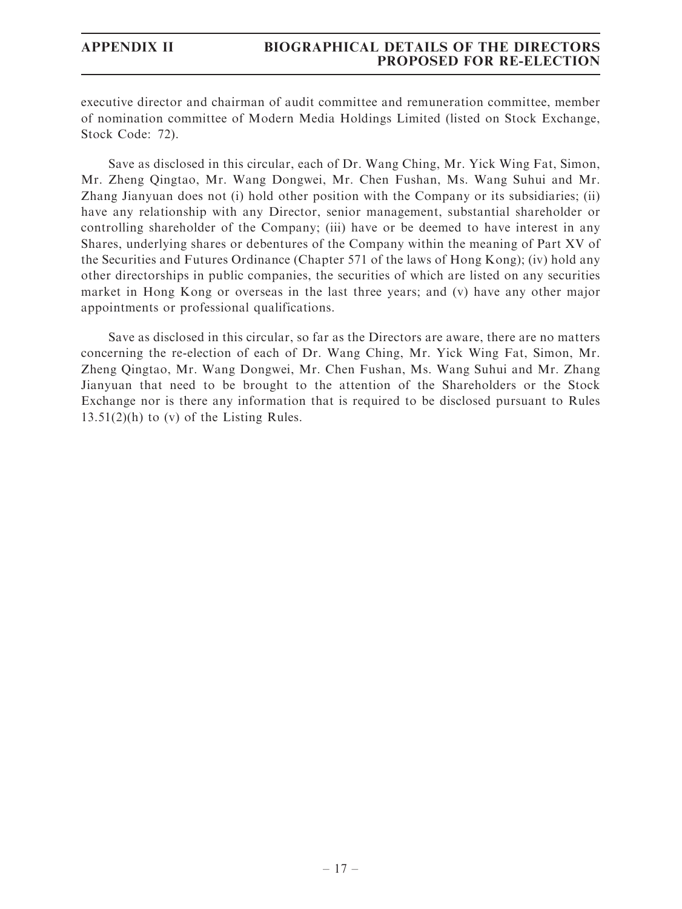executive director and chairman of audit committee and remuneration committee, member of nomination committee of Modern Media Holdings Limited (listed on Stock Exchange, Stock Code: 72).

Save as disclosed in this circular, each of Dr. Wang Ching, Mr. Yick Wing Fat, Simon, Mr. Zheng Qingtao, Mr. Wang Dongwei, Mr. Chen Fushan, Ms. Wang Suhui and Mr. Zhang Jianyuan does not (i) hold other position with the Company or its subsidiaries; (ii) have any relationship with any Director, senior management, substantial shareholder or controlling shareholder of the Company; (iii) have or be deemed to have interest in any Shares, underlying shares or debentures of the Company within the meaning of Part XV of the Securities and Futures Ordinance (Chapter 571 of the laws of Hong Kong); (iv) hold any other directorships in public companies, the securities of which are listed on any securities market in Hong Kong or overseas in the last three years; and (v) have any other major appointments or professional qualifications.

Save as disclosed in this circular, so far as the Directors are aware, there are no matters concerning the re-election of each of Dr. Wang Ching, Mr. Yick Wing Fat, Simon, Mr. Zheng Qingtao, Mr. Wang Dongwei, Mr. Chen Fushan, Ms. Wang Suhui and Mr. Zhang Jianyuan that need to be brought to the attention of the Shareholders or the Stock Exchange nor is there any information that is required to be disclosed pursuant to Rules  $13.51(2)(h)$  to (v) of the Listing Rules.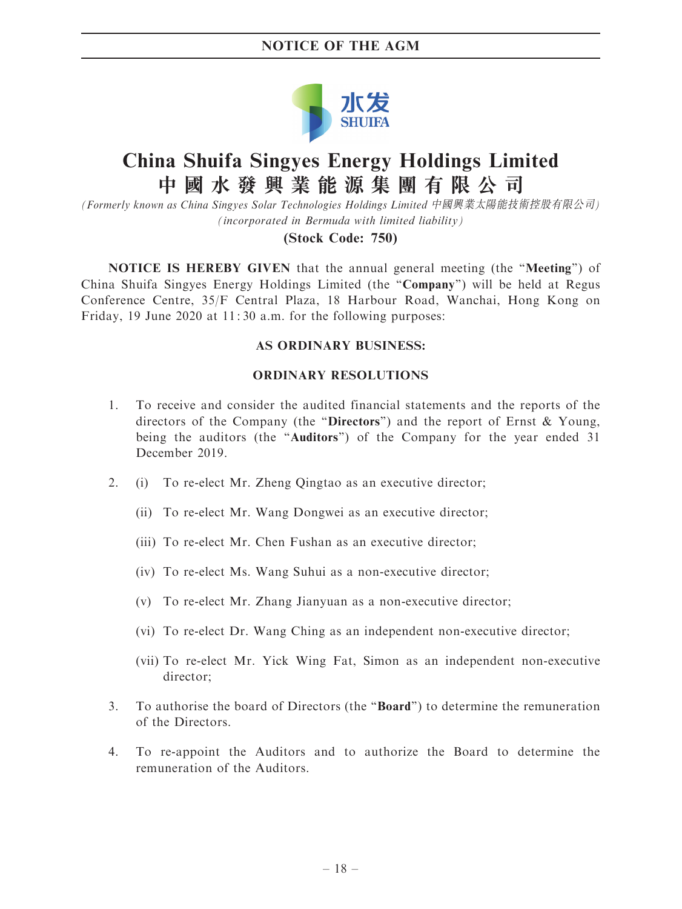# NOTICE OF THE AGM



# China Shuifa Singyes Energy Holdings Limited 中 國 水 發 興 業 能 源 集 團 有 限 公 司

(Formerly known as China Singyes Solar Technologies Holdings Limited 中國興業太陽能技術控股有限公司) (incorporated in Bermuda with limited liability)

### (Stock Code: 750)

NOTICE IS HEREBY GIVEN that the annual general meeting (the ''Meeting'') of China Shuifa Singyes Energy Holdings Limited (the ''Company'') will be held at Regus Conference Centre, 35/F Central Plaza, 18 Harbour Road, Wanchai, Hong Kong on Friday, 19 June 2020 at 11: 30 a.m. for the following purposes:

#### AS ORDINARY BUSINESS:

### ORDINARY RESOLUTIONS

- 1. To receive and consider the audited financial statements and the reports of the directors of the Company (the "Directors") and the report of Ernst & Young, being the auditors (the "Auditors") of the Company for the year ended 31 December 2019.
- 2. (i) To re-elect Mr. Zheng Qingtao as an executive director;
	- (ii) To re-elect Mr. Wang Dongwei as an executive director;
	- (iii) To re-elect Mr. Chen Fushan as an executive director;
	- (iv) To re-elect Ms. Wang Suhui as a non-executive director;
	- (v) To re-elect Mr. Zhang Jianyuan as a non-executive director;
	- (vi) To re-elect Dr. Wang Ching as an independent non-executive director;
	- (vii) To re-elect Mr. Yick Wing Fat, Simon as an independent non-executive director;
- 3. To authorise the board of Directors (the ''Board'') to determine the remuneration of the Directors.
- 4. To re-appoint the Auditors and to authorize the Board to determine the remuneration of the Auditors.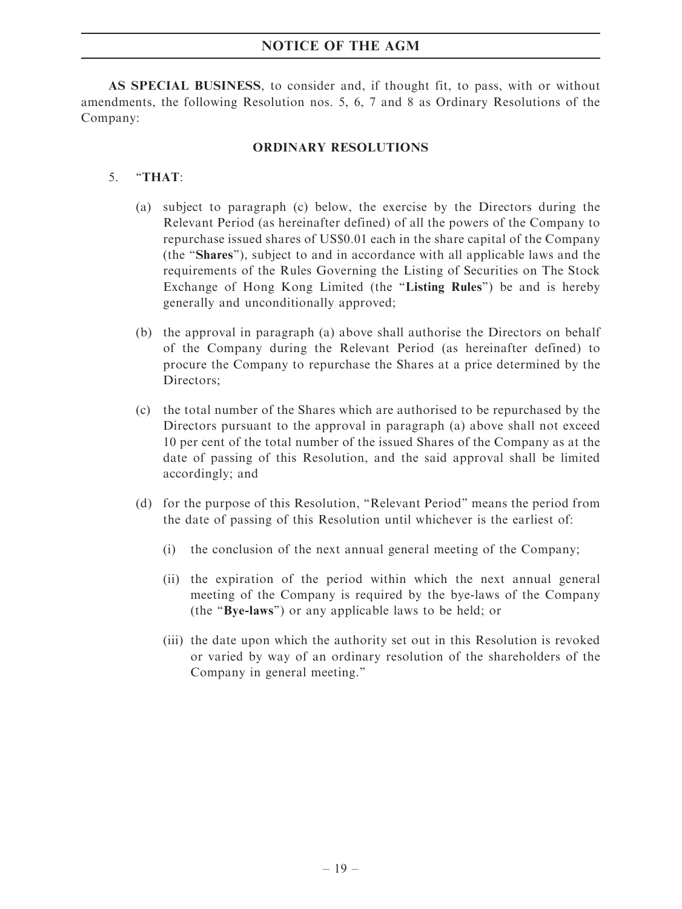# NOTICE OF THE AGM

AS SPECIAL BUSINESS, to consider and, if thought fit, to pass, with or without amendments, the following Resolution nos. 5, 6, 7 and 8 as Ordinary Resolutions of the Company:

## ORDINARY RESOLUTIONS

# $5.$  "THAT

- (a) subject to paragraph (c) below, the exercise by the Directors during the Relevant Period (as hereinafter defined) of all the powers of the Company to repurchase issued shares of US\$0.01 each in the share capital of the Company (the ''Shares''), subject to and in accordance with all applicable laws and the requirements of the Rules Governing the Listing of Securities on The Stock Exchange of Hong Kong Limited (the "Listing Rules") be and is hereby generally and unconditionally approved;
- (b) the approval in paragraph (a) above shall authorise the Directors on behalf of the Company during the Relevant Period (as hereinafter defined) to procure the Company to repurchase the Shares at a price determined by the Directors;
- (c) the total number of the Shares which are authorised to be repurchased by the Directors pursuant to the approval in paragraph (a) above shall not exceed 10 per cent of the total number of the issued Shares of the Company as at the date of passing of this Resolution, and the said approval shall be limited accordingly; and
- (d) for the purpose of this Resolution, ''Relevant Period'' means the period from the date of passing of this Resolution until whichever is the earliest of:
	- (i) the conclusion of the next annual general meeting of the Company;
	- (ii) the expiration of the period within which the next annual general meeting of the Company is required by the bye-laws of the Company (the ''Bye-laws'') or any applicable laws to be held; or
	- (iii) the date upon which the authority set out in this Resolution is revoked or varied by way of an ordinary resolution of the shareholders of the Company in general meeting.''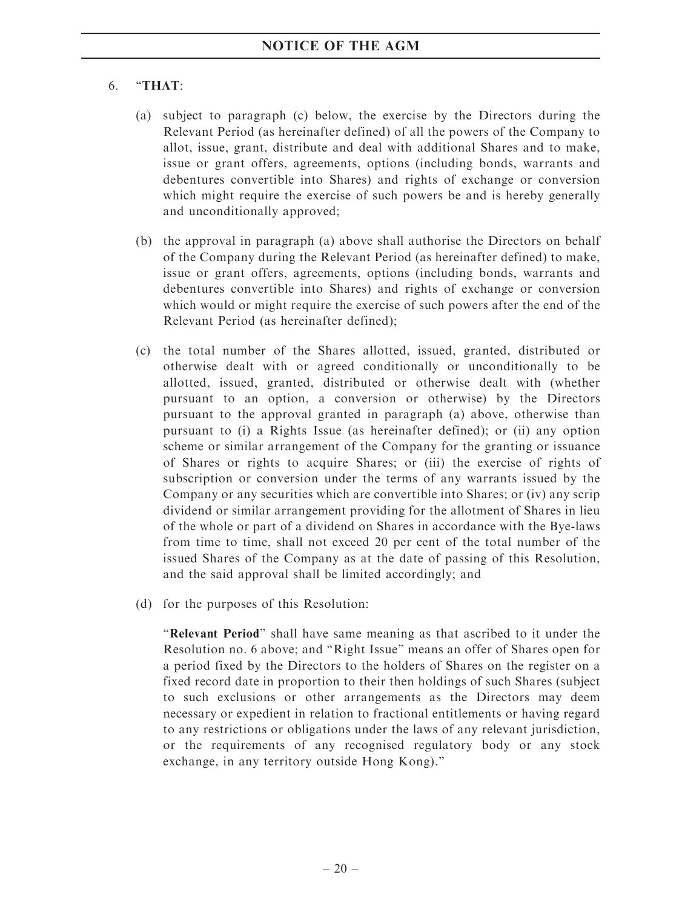# 6. ''THAT:

- (a) subject to paragraph (c) below, the exercise by the Directors during the Relevant Period (as hereinafter defined) of all the powers of the Company to allot, issue, grant, distribute and deal with additional Shares and to make, issue or grant offers, agreements, options (including bonds, warrants and debentures convertible into Shares) and rights of exchange or conversion which might require the exercise of such powers be and is hereby generally and unconditionally approved;
- (b) the approval in paragraph (a) above shall authorise the Directors on behalf of the Company during the Relevant Period (as hereinafter defined) to make, issue or grant offers, agreements, options (including bonds, warrants and debentures convertible into Shares) and rights of exchange or conversion which would or might require the exercise of such powers after the end of the Relevant Period (as hereinafter defined);
- (c) the total number of the Shares allotted, issued, granted, distributed or otherwise dealt with or agreed conditionally or unconditionally to be allotted, issued, granted, distributed or otherwise dealt with (whether pursuant to an option, a conversion or otherwise) by the Directors pursuant to the approval granted in paragraph (a) above, otherwise than pursuant to (i) a Rights Issue (as hereinafter defined); or (ii) any option scheme or similar arrangement of the Company for the granting or issuance of Shares or rights to acquire Shares; or (iii) the exercise of rights of subscription or conversion under the terms of any warrants issued by the Company or any securities which are convertible into Shares; or (iv) any scrip dividend or similar arrangement providing for the allotment of Shares in lieu of the whole or part of a dividend on Shares in accordance with the Bye-laws from time to time, shall not exceed 20 per cent of the total number of the issued Shares of the Company as at the date of passing of this Resolution, and the said approval shall be limited accordingly; and
- (d) for the purposes of this Resolution:

''Relevant Period'' shall have same meaning as that ascribed to it under the Resolution no. 6 above; and ''Right Issue'' means an offer of Shares open for a period fixed by the Directors to the holders of Shares on the register on a fixed record date in proportion to their then holdings of such Shares (subject to such exclusions or other arrangements as the Directors may deem necessary or expedient in relation to fractional entitlements or having regard to any restrictions or obligations under the laws of any relevant jurisdiction, or the requirements of any recognised regulatory body or any stock exchange, in any territory outside Hong Kong).''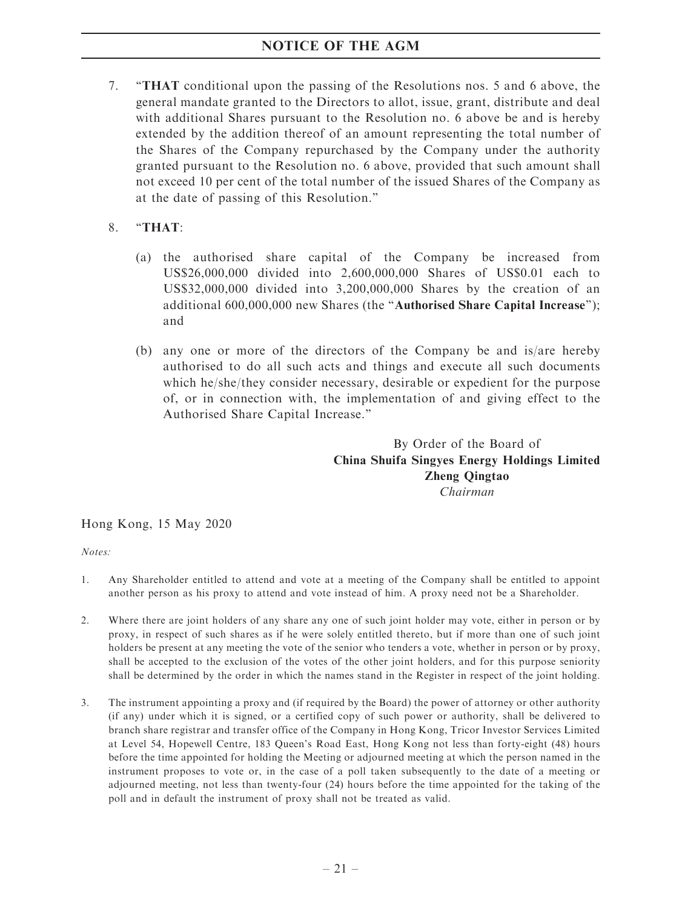# NOTICE OF THE AGM

7. ''THAT conditional upon the passing of the Resolutions nos. 5 and 6 above, the general mandate granted to the Directors to allot, issue, grant, distribute and deal with additional Shares pursuant to the Resolution no. 6 above be and is hereby extended by the addition thereof of an amount representing the total number of the Shares of the Company repurchased by the Company under the authority granted pursuant to the Resolution no. 6 above, provided that such amount shall not exceed 10 per cent of the total number of the issued Shares of the Company as at the date of passing of this Resolution.''

# 8. ''THAT:

- (a) the authorised share capital of the Company be increased from US\$26,000,000 divided into 2,600,000,000 Shares of US\$0.01 each to US\$32,000,000 divided into 3,200,000,000 Shares by the creation of an additional 600,000,000 new Shares (the "Authorised Share Capital Increase"); and
- (b) any one or more of the directors of the Company be and is/are hereby authorised to do all such acts and things and execute all such documents which he/she/they consider necessary, desirable or expedient for the purpose of, or in connection with, the implementation of and giving effect to the Authorised Share Capital Increase.''

By Order of the Board of China Shuifa Singyes Energy Holdings Limited Zheng Qingtao Chairman

Hong Kong, 15 May 2020

Notes:

- 1. Any Shareholder entitled to attend and vote at a meeting of the Company shall be entitled to appoint another person as his proxy to attend and vote instead of him. A proxy need not be a Shareholder.
- 2. Where there are joint holders of any share any one of such joint holder may vote, either in person or by proxy, in respect of such shares as if he were solely entitled thereto, but if more than one of such joint holders be present at any meeting the vote of the senior who tenders a vote, whether in person or by proxy, shall be accepted to the exclusion of the votes of the other joint holders, and for this purpose seniority shall be determined by the order in which the names stand in the Register in respect of the joint holding.
- 3. The instrument appointing a proxy and (if required by the Board) the power of attorney or other authority (if any) under which it is signed, or a certified copy of such power or authority, shall be delivered to branch share registrar and transfer office of the Company in Hong Kong, Tricor Investor Services Limited at Level 54, Hopewell Centre, 183 Queen's Road East, Hong Kong not less than forty-eight (48) hours before the time appointed for holding the Meeting or adjourned meeting at which the person named in the instrument proposes to vote or, in the case of a poll taken subsequently to the date of a meeting or adjourned meeting, not less than twenty-four (24) hours before the time appointed for the taking of the poll and in default the instrument of proxy shall not be treated as valid.